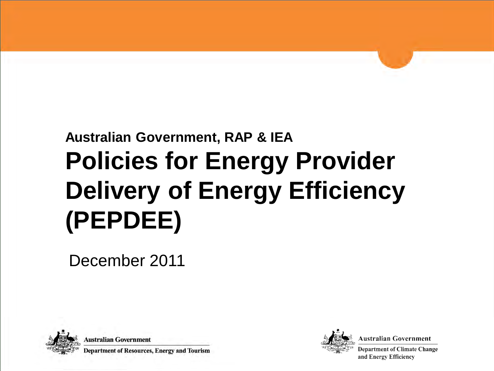# **Australian Government, RAP & IEA Policies for Energy Provider Delivery of Energy Efficiency (PEPDEE)**

December 2011



**Australian Government** 

Department of Resources, Energy and Tourism



Australian Government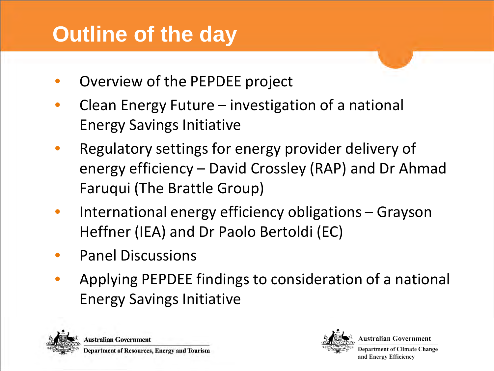## **Outline of the day**

- Overview of the PEPDEE project
- Clean Energy Future investigation of a national Energy Savings Initiative
- Regulatory settings for energy provider delivery of energy efficiency – David Crossley (RAP) and Dr Ahmad Faruqui (The Brattle Group)
- International energy efficiency obligations Grayson Heffner (IEA) and Dr Paolo Bertoldi (EC)
- Panel Discussions
- Applying PEPDEE findings to consideration of a national Energy Savings Initiative



**Australian Government** Department of Resources, Energy and Tourism



ustralian Government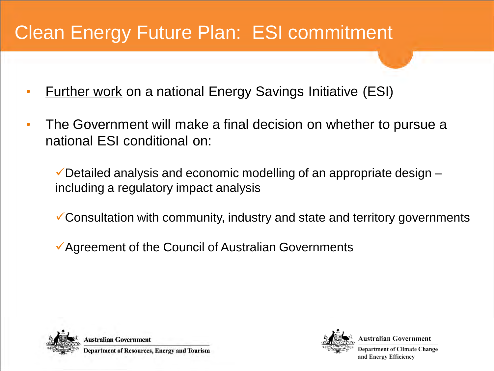#### Clean Energy Future Plan: ESI commitment

- Further work on a national Energy Savings Initiative (ESI)
- The Government will make a final decision on whether to pursue a national ESI conditional on:

 $\checkmark$  Detailed analysis and economic modelling of an appropriate design  $$ including a regulatory impact analysis

Consultation with community, industry and state and territory governments

Agreement of the Council of Australian Governments





ustralian Government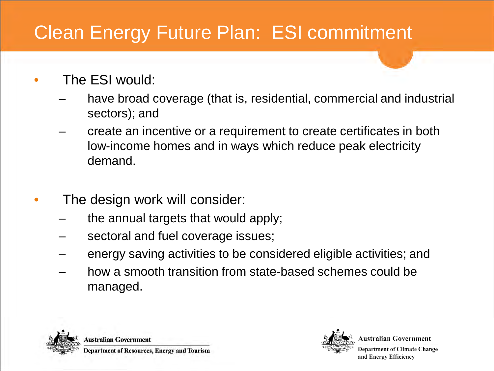#### Clean Energy Future Plan: ESI commitment

- The ESI would:
	- have broad coverage (that is, residential, commercial and industrial sectors); and
	- create an incentive or a requirement to create certificates in both low-income homes and in ways which reduce peak electricity demand.
- The design work will consider:
	- the annual targets that would apply;
	- sectoral and fuel coverage issues;
	- energy saving activities to be considered eligible activities; and
	- how a smooth transition from state-based schemes could be managed.





ustralian Government.